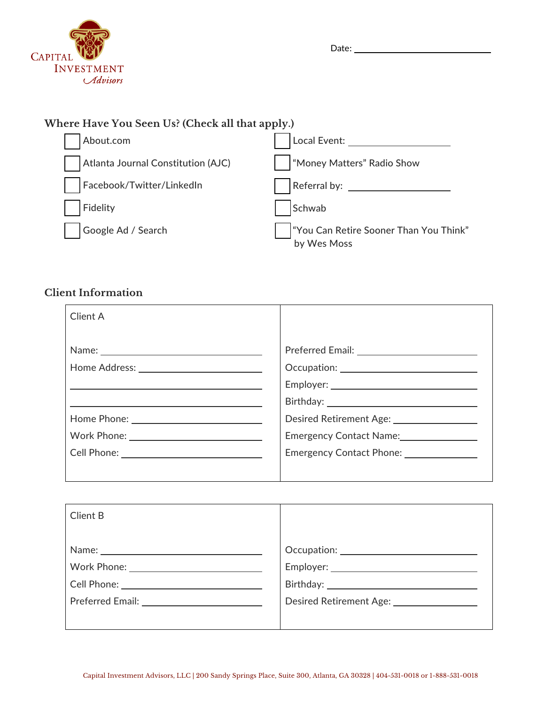

| Date: |  |
|-------|--|
|-------|--|

# **Where Have You Seen Us? (Check all that apply.)**

| About.com                          | Local Event:                                          |
|------------------------------------|-------------------------------------------------------|
| Atlanta Journal Constitution (AJC) | "Money Matters" Radio Show                            |
| Facebook/Twitter/LinkedIn          |                                                       |
| Fidelity                           | Schwab                                                |
| Google Ad / Search                 | "You Can Retire Sooner Than You Think"<br>by Wes Moss |

# **Client Information**

| <b>Client A</b>  |                                                      |
|------------------|------------------------------------------------------|
|                  |                                                      |
|                  |                                                      |
|                  |                                                      |
|                  | Desired Retirement Age: <u>_____________________</u> |
| Work Phone: 2008 | Emergency Contact Name:                              |
|                  | Emergency Contact Phone: <u>_________________</u>    |
|                  |                                                      |

| Client B                                   |  |
|--------------------------------------------|--|
|                                            |  |
|                                            |  |
|                                            |  |
|                                            |  |
| Preferred Email: <u>__________________</u> |  |
|                                            |  |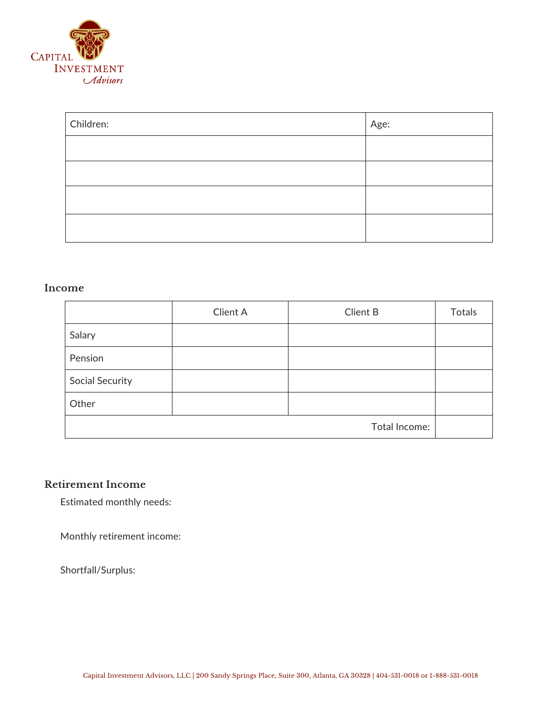

| Children: | Age: |
|-----------|------|
|           |      |
|           |      |
|           |      |
|           |      |

#### **Income**

|                        | Client A | <b>Client B</b> | <b>Totals</b> |
|------------------------|----------|-----------------|---------------|
| Salary                 |          |                 |               |
| Pension                |          |                 |               |
| <b>Social Security</b> |          |                 |               |
| Other                  |          |                 |               |
|                        |          | Total Income:   |               |

### **Retirement Income**

Estimated monthly needs:

Monthly retirement income:

Shortfall/Surplus: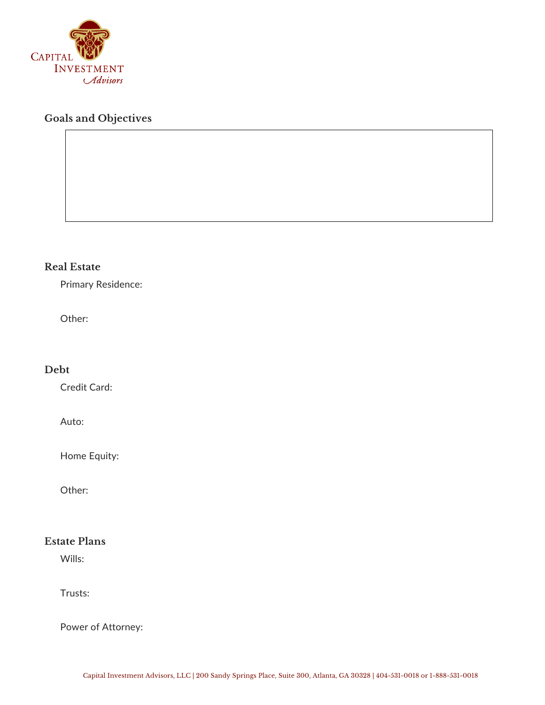

## **Goals and Objectives**

### **Real Estate**

Primary Residence:

Other:

#### **Debt**

Credit Card:

Auto:

Home Equity:

Other:

## **Estate Plans**

Wills:

Trusts:

Power of Attorney: